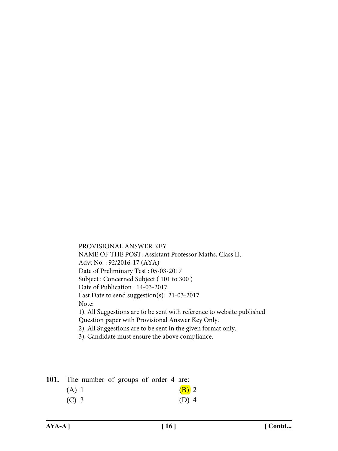PROVISIONAL ANSWER KEY NAME OF THE POST: Assistant Professor Maths, Class II, Advt No. : 92/2016-17 (AYA) Date of Preliminary Test : 05-03-2017 Subject : Concerned Subject ( 101 to 300 ) Date of Publication : 14-03-2017 Last Date to send suggestion(s) : 21-03-2017 Note: 1). All Suggestions are to be sent with reference to website published Question paper with Provisional Answer Key Only. 2). All Suggestions are to be sent in the given format only. 3). Candidate must ensure the above compliance.

| 101. The number of groups of order 4 are: |  |         |
|-------------------------------------------|--|---------|
| (A) 1                                     |  | $(B)$ 2 |
| $(C)$ 3                                   |  | $(D)$ 4 |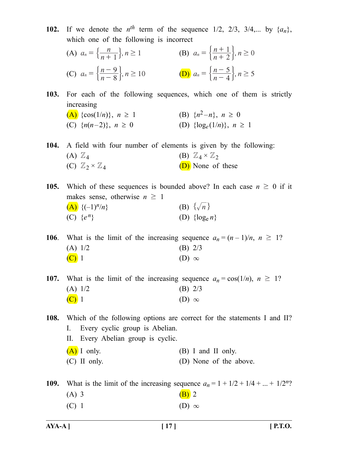**102.** If we denote the  $n^{th}$  term of the sequence 1/2, 2/3, 3/4,... by  $\{a_n\}$ , which one of the following is incorrect

(A) 
$$
a_n = \left\{ \frac{n}{n+1} \right\}, n \ge 1
$$
  
\n(B)  $a_n = \left\{ \frac{n+1}{n+2} \right\}, n \ge 0$   
\n(C)  $a_n = \left\{ \frac{n-9}{n-8} \right\}, n \ge 10$   
\n(D)  $a_n = \left\{ \frac{n-5}{n-4} \right\}, n \ge 5$ 

**103.** For each of the following sequences, which one of them is strictly increasing

(A) {cos(1/n)}, 
$$
n \ge 1
$$
  
\n(B) { $n^2-n$ },  $n \ge 0$   
\n(C) { $n(n-2)$ },  $n \ge 0$   
\n(D) {log<sub>e</sub>(1/n)},  $n \ge 1$ 

**104.** A field with four number of elements is given by the following: (A)  $\mathbb{Z}_4$  (B)  $\mathbb{Z}_4 \times \mathbb{Z}_2$ (C)  $\mathbb{Z}_2 \times \mathbb{Z}_4$  (D) None of these

**105.** Which of these sequences is bounded above? In each case  $n \geq 0$  if it makes sense, otherwise  $n \geq 1$ (A)  $\{(-1)^n/n\}$  (B)  $\{\sqrt{n}\}$ (C)  $\{e^n\}$  (D)  $\{\log_e n\}$ 

**106**. What is the limit of the increasing sequence  $a_n = (n-1)/n$ ,  $n \ge 1$ ? (A)  $1/2$  (B)  $2/3$  $(C)$  1 (D)  $\infty$ 

**107.** What is the limit of the increasing sequence  $a_n = \cos(1/n)$ ,  $n \ge 1$ ? (A)  $1/2$  (B)  $2/3$  $(C)$  1 (D)  $\infty$ 

**108.** Which of the following options are correct for the statements I and II? I. Every cyclic group is Abelian. II. Every Abelian group is cyclic.

 $(A)$  I only. (B) I and II only.

(C) II only. (D) None of the above.

**109.** What is the limit of the increasing sequence  $a_n = 1 + 1/2 + 1/4 + ... + 1/2^n$ ? (A) 3 (B) 2 (C) 1 (D)  $\infty$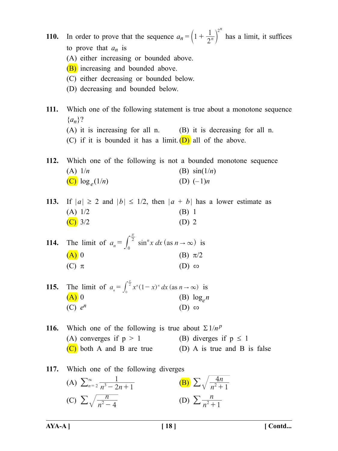**AYA-A ] [ 18 ] [ Contd... 110.** In order to prove that the sequence  $a_n = \left(1 + \frac{1}{2^n}\right)^2$ *n*  $\left(1 + \frac{1}{2^n}\right)$  has a limit, it suffices to prove that  $a_n$  is (A) either increasing or bounded above. (B) increasing and bounded above. (C) either decreasing or bounded below. (D) decreasing and bounded below. **111.** Which one of the following statement is true about a monotone sequence {*an*}? (A) it is increasing for all n. (B) it is decreasing for all n. (C) if it is bounded it has a limit.  $(D)$  all of the above. **112.** Which one of the following is not a bounded monotone sequence (A)  $1/n$  (B)  $\sin(1/n)$  $(C) \log_e(1/n)$  (D)  $(-1)n$ **113.** If  $|a| \ge 2$  and  $|b| \le 1/2$ , then  $|a + b|$  has a lower estimate as (A)  $1/2$  (B) 1 (C)  $3/2$  (D) 2 **114.** The limit of  $a_n = \int_0^2 \sin^n x \, dx$  (as *n*  $=\int_0^2 \sin^n x \, dx$  (as  $n \to \infty$  $\int_0^{\frac{\pi}{2}} \sin^n x \, dx$  (as  $n \to \infty$ ) is (A) 0 (B)  $\pi/2$ (C)  $\pi$  (D)  $\infty$ **115.** The limit of  $a_n = \int_0^2 x^n (1 - x)^n dx$  (as  $n \to \infty$ )  $=\int_0^{\frac{\pi}{2}} x^n (1-x)^n dx$  (as  $n \to \infty$ ) is (A) 0 (B)  $\log_e n$  $(C)$   $e^n$  (D)  $\infty$ **116.** Which one of the following is true about  $\Sigma 1/n^p$ (A) converges if  $p > 1$  (B) diverges if  $p \le 1$  $(C)$  both A and B are true (D) A is true and B is false **117.** Which one of the following diverges (A)  $\sum_{n=2}^{\infty} \frac{1}{n^3 - 2n + 1}$  $n=2$   $n^3-2n+$  $\sum_{n=2}^{\infty} \frac{1}{n^3 - 2n + 1}$  **(B)**  $\sum \sqrt{\frac{4n}{n^2 + 1}}$ 1  $\sum \sqrt{\frac{4n}{n^2+1}}$ (C)  $\sum \sqrt{\frac{n}{n^2 - 4}}$  (D)  $\sum \frac{n}{n}$  $\sum \frac{n}{n^2+1}$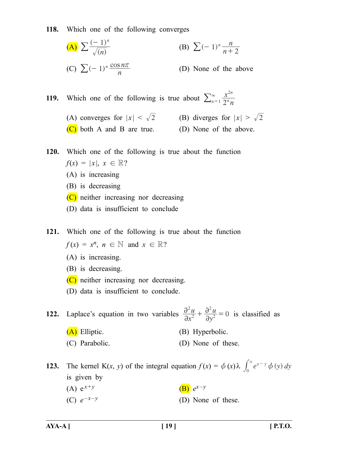**118.** Which one of the following converges

(A) 
$$
\sum \frac{(-1)^n}{\sqrt{n}} \qquad \qquad \text{(B) } \sum (-1)^n \frac{n}{n+2}
$$
  
(C) 
$$
\sum (-1)^n \frac{\cos n\pi}{n} \qquad \qquad \text{(D) None of the above}
$$

**119.** Which one of the following is true about  $\sum_{n=1}^{\infty} \frac{x^{2n}}{2^n n}$ 2*n n n* 2  $\sum_{n=1}^{\infty}$ 

- (A) converges for  $|x| < \sqrt{2}$  (B) diverges for  $|x| > \sqrt{2}$ 
	-
	- (C) both A and B are true. (D) None of the above.
- **120.** Which one of the following is true about the function  $f(x) = |x|, x \in \mathbb{R}$ ?
	- (A) is increasing
	- (B) is decreasing
	- (C) neither increasing nor decreasing
	- (D) data is insufficient to conclude

**121.** Which one of the following is true about the function

 $f(x) = x^n$ ,  $n \in \mathbb{N}$  and  $x \in \mathbb{R}$ ?

- (A) is increasing.
- (B) is decreasing.
- (C) neither increasing nor decreasing.
- (D) data is insufficient to conclude.

**122.** Laplace's equation in two variables  $\frac{\partial^2 u}{\partial x^2}$ *y*  $\frac{2u}{x^2} + \frac{\partial^2 u}{\partial y^2} = 0$ 2 2  $\partial$  $\partial$  $+\frac{\partial^2 u}{\partial y^2} = 0$  is classified as

- (A) Elliptic. (B) Hyperbolic.
- (C) Parabolic. (D) None of these.

**123.** The kernel K(*x*, *y*) of the integral equation  $f(x) = \phi(x)\lambda \int_0^x e^{x-y} \phi(y) dy$ is given by (A)  $e^{x+y}$  (B)  $e^{x-y}$ (C)  $e^{-x-y}$  (D) None of these.

**AYA-A ] [ 19 ] [ P.T.O.**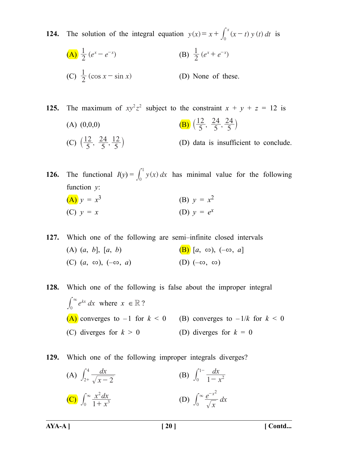**124.** The solution of the integral equation  $y(x) = x + \int_0^x (x - t) y(t) dt$  is  $\left(\mathbf{A}\right) \frac{1}{2} (e^{x} - e^{-x})$  $\frac{1}{2}(e^x - e^{-x})$  (B)  $\frac{1}{2}(e^x + e^{-x})$ (C)  $\frac{1}{2} (\cos x - \sin x)$  (D) None of these.

**125.** The maximum of  $xy^2z^2$  subject to the constraint  $x + y + z = 12$  is (A)  $(0,0,0)$  (B)  $\left(\frac{12}{5}, \frac{24}{5}\right)$ 5 24  $\left(\frac{12}{5}, \frac{24}{5}, \frac{24}{5}\right)$ (C)  $\left(\frac{12}{5}, \frac{24}{5}\right)$ 5 24 5 (D) data is insufficient to conclude.

**126.** The functional  $I(y) = \int_0^1 y(x) dx$  has minimal value for the following function *y*: (A)  $y = x^3$  (B)  $y = x^2$ (C)  $y = x$  (D)  $y = e^x$ 

**127.** Which one of the following are semi–infinite closed intervals (A)  $(a, b]$ ,  $[a, b)$  (B)  $[a, \infty)$ ,  $(-\infty, a]$ (C)  $(a, \infty)$ ,  $(-\infty, a)$  (D)  $(-\infty, \infty)$ 

**128.** Which one of the following is false about the improper integral  $\int_0^\infty e^{kx} dx$  $\int_0^\infty e^{kx} dx$  where  $x \in \mathbb{R}$ ? (A) converges to  $-1$  for  $k < 0$  (B) converges to  $-1/k$  for  $k < 0$ (C) diverges for  $k > 0$  (D) diverges for  $k = 0$ 

**129.** Which one of the following improper integrals diverges?

(A) 
$$
\int_{2+}^{4} \frac{dx}{\sqrt{x-2}}
$$
  
\n(B)  $\int_{0}^{1-} \frac{dx}{1-x^2}$   
\n(C)  $\int_{0}^{\infty} \frac{x^2 dx}{1+x^3}$   
\n(D)  $\int_{0}^{\infty} \frac{e^{-x^2}}{\sqrt{x}} dx$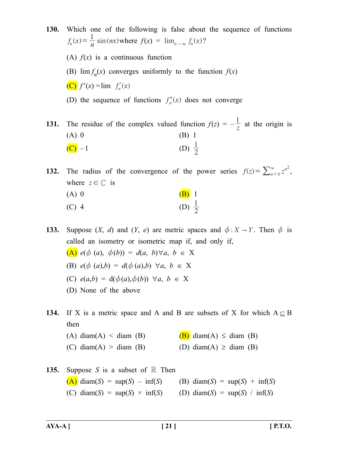**130.** Which one of the following is false about the sequence of functions  $f_n(x) = \frac{1}{n} \sin(nx)$  where  $f(x) = \lim_{n \to \infty} f_n(x)$ ? (A)  $f(x)$  is a continuous function (B)  $\lim f_n(x)$  converges uniformly to the function  $f(x)$ (C)  $f'(x) = \lim_{n \to \infty} f'_n(x)$ (D) the sequence of functions  $f''_n(x)$  does not converge

**131.** The residue of the complex valued function  $f(z) = -\frac{1}{z}$  at the origin is (A) 0 (B) 1 (C) –1 (D)  $\frac{1}{2}$ 

**132.** The radius of the convergence of the power series  $f(z) = \sum_{n=0}^{\infty} z^{n^2}$ , where  $z \in \mathbb{C}$  is

| $(A)$ 0 | $(B)$ 1           |
|---------|-------------------|
| $(C)$ 4 | (D) $\frac{1}{2}$ |

**133.** Suppose  $(X, d)$  and  $(Y, e)$  are metric spaces and  $\phi: X \rightarrow Y$ . Then  $\phi$  is called an isometry or isometric map if, and only if,  $(\bf{A})$  *e*( $\phi$  (*a*),  $\phi$ (*b*)) = *d*(*a*, *b*)∀*a*, *b* ∈ X (B)  $e^{(\phi(a),b)} = d(\phi(a),b) \ \forall a, b \in X$ (C)  $e(a,b) = d(\phi(a), \phi(b)) \ \forall a, b \in X$ (D) None of the above

**134.** If X is a metric space and A and B are subsets of X for which  $A \subseteq B$ then

- (A) diam(A) < diam (B)  $(B)$  diam(A)  $\leq$  diam (B)
- (C) diam(A) > diam (B) (D) diam(A)  $\geq$  diam (B)

| 135. Suppose S is a subset of $\mathbb R$ Then                |                               |
|---------------------------------------------------------------|-------------------------------|
| $(A)$ diam(S) = sup(S) - inf(S) (B) diam(S) = sup(S) + inf(S) |                               |
| (C) diam(S) = sup(S) $\times$ inf(S)                          | (D) diam(S) = sup(S) / inf(S) |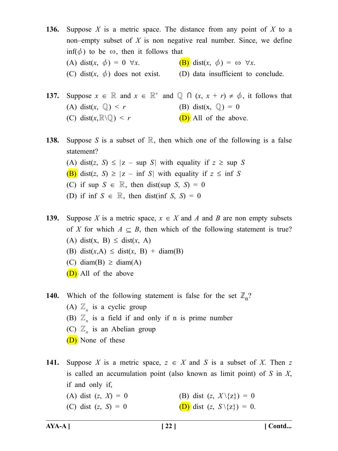**136.** Suppose *X* is a metric space. The distance from any point of *X* to a non–empty subset of *X* is non negative real number. Since, we define inf( $\phi$ ) to be  $\infty$ , then it follows that (A) dist(*x*,  $\phi$ ) = 0  $\forall x$ . (B) dist(*x*,  $\phi$ ) =  $\infty$   $\forall x$ . (C) dist $(x, \phi)$  does not exist. (D) data insufficient to conclude.

## **137.** Suppose  $x \in \mathbb{R}$  and  $x \in \mathbb{R}^+$  and  $\mathbb{Q} \cap (x, x + r) \neq \emptyset$ , it follows that (A) dist(x,  $\mathbb{Q}$ ) < *r* (B) dist(x,  $\mathbb{Q}$ ) = 0 (C) dist( $x, \mathbb{R} \setminus \mathbb{Q}$ ) < *r* (D) All of the above.

**138.** Suppose *S* is a subset of R, then which one of the following is a false statement? (A) dist(*z*, *S*)  $\leq$  |*z* – sup *S*| with equality if  $z \geq$  sup *S* (B) dist(*z*, *S*)  $\geq$  |*z* – inf *S*| with equality if  $z \leq \inf S$ (C) if sup  $S \in \mathbb{R}$ , then dist(sup *S*, *S*) = 0 (D) if inf  $S \in \mathbb{R}$ , then dist(inf *S*, *S*) = 0

**139.** Suppose *X* is a metric space,  $x \in X$  and *A* and *B* are non empty subsets of *X* for which  $A \subseteq B$ , then which of the following statement is true? (A) dist(x, B)  $\leq$  dist(x, A)

- (B) dist(x, A)  $\leq$  dist(x, B) + diam(B)
- (C) diam(B)  $\geq$  diam(A)
- (D) All of the above
- **140.** Which of the following statement is false for the set  $\mathbb{Z}_n$ ? (A)  $\mathbb{Z}_n$  is a cyclic group (B)  $\mathbb{Z}_n$  is a field if and only if n is prime number (C)  $\mathbb{Z}_n$  is an Abelian group
	- (D) None of these
- **141.** Suppose *X* is a metric space,  $z \in X$  and *S* is a subset of *X*. Then *z* is called an accumulation point (also known as limit point) of *S* in *X*, if and only if,
	- (A) dist (*z*, *X*) = 0 (B) dist (*z*,  $X \setminus \{z\}$ ) = 0
	- (C) dist (*z*, *S*) = 0 (D) dist (*z*,  $S \setminus \{z\}$ ) = 0.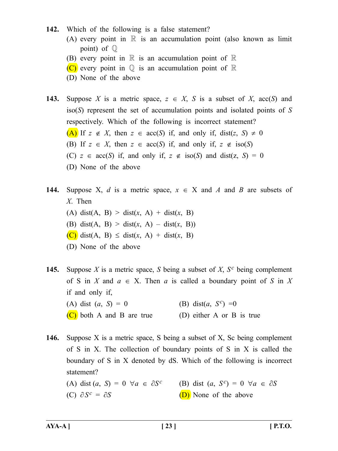#### **142.** Which of the following is a false statement?

- (A) every point in  $\mathbb R$  is an accumulation point (also known as limit point) of Q
- (B) every point in  $\mathbb R$  is an accumulation point of  $\mathbb R$
- (C) every point in  $\mathbb Q$  is an accumulation point of  $\mathbb R$
- (D) None of the above
- **143.** Suppose *X* is a metric space,  $z \in X$ , *S* is a subset of *X*, acc(*S*) and iso(*S*) represent the set of accumulation points and isolated points of *S* respectively. Which of the following is incorrect statement? (A) If *z* ∉ *X*, then *z* ∈ acc(*S*) if, and only if, dist(*z*, *S*) ≠ 0 (B) If  $z \in X$ , then  $z \in acc(S)$  if, and only if,  $z \notin iso(S)$ (C) *z* ∈ acc(*S*) if, and only if, *z* ∉ iso(*S*) and dist(*z*, *S*) = 0 (D) None of the above
- **144.** Suppose X, *d* is a metric space,  $x \in X$  and *A* and *B* are subsets of *X*. Then (A) dist(A, B)  $>$  dist(x, A) + dist(x, B) (B) dist(A, B)  $>$  dist(x, A)  $-$  dist(x, B)) (C) dist(A, B) ≤ dist(*x*, A) + dist(*x*, B) (D) None of the above
- **145.** Suppose *X* is a metric space, *S* being a subset of *X*, *Sc* being complement of S in *X* and  $a \in X$ . Then *a* is called a boundary point of S in X if and only if, (A) dist  $(a, S) = 0$  (B) dist $(a, S^c) = 0$  $(C)$  both A and B are true (D) either A or B is true
- **146.** Suppose X is a metric space, S being a subset of X, Sc being complement of S in X. The collection of boundary points of S in X is called the boundary of S in X denoted by dS. Which of the following is incorrect statement?

### (A) dist  $(a, S) = 0$   $\forall a \in \partial S^c$  (B) dist  $(a, S^c) = 0$   $\forall a \in \partial S$ (C)  $\partial S^c = \partial S$  (D) None of the above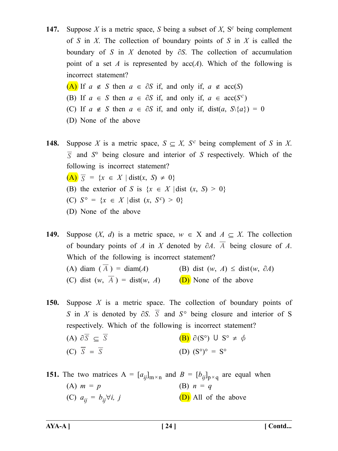**147.** Suppose *X* is a metric space, *S* being a subset of *X*, S*c* being complement of *S* in *X*. The collection of boundary points of *S* in *X* is called the boundary of *S* in *X* denoted by ∂*S*. The collection of accumulation point of a set *A* is represented by  $acc(A)$ . Which of the following is incorrect statement?

(A) If *a* ∉ *S* then *a* ∈ ∂*S* if, and only if, *a* ∉ acc(*S*) (B) If  $a \in S$  then  $a \in \partial S$  if, and only if,  $a \in \text{acc}(S^c)$ (C) If *a* ∉ *S* then *a* ∈  $\partial S$  if, and only if, dist(*a*,  $S\$ {*a*}) = 0

- (D) None of the above
- **148.** Suppose *X* is a metric space,  $S \subseteq X$ ,  $S^c$  being complement of *S* in *X*. *S* and *S*° being closure and interior of *S* respectively. Which of the following is incorrect statement?

 $(A)$   $\overline{S}$  = {*x* ∈ *X* | dist(*x*, *S*) ≠ 0}

- (B) the exterior of *S* is  $\{x \in X \mid \text{dist}(x, S) \geq 0\}$
- (C) *S*° = {*x* ∈ *X* | dist (*x*, *Sc*) > 0}
- (D) None of the above
- **149.** Suppose  $(X, d)$  is a metric space,  $w \in X$  and  $A \subseteq X$ . The collection of boundary points of *A* in *X* denoted by ∂*A*. *A* being closure of *A*. Which of the following is incorrect statement? (A) diam ( *A* ) = diam(*A*) (B) dist (*w*, *A*) ≤ dist(*w*,  $\partial A$ ) (C) dist  $(w, \overline{A}) = \text{dist}(w, A)$  (D) None of the above

**150.** Suppose *X* is a metric space. The collection of boundary points of *S* in *X* is denoted by ∂*S*. *S* and *S*° being closure and interior of S respectively. Which of the following is incorrect statement? (A)  $\partial \overline{S} \subset \overline{S}$  (B)  $\partial (S^{\circ}) \cup S^{\circ} \neq \emptyset$ 

(C) 
$$
\overline{S} = \overline{S}
$$
 (D)  $(S^{\circ})^{\circ} = S^{\circ}$ 

**151.** The two matrices  $A = [a_{ij}]_{m \times n}$  and  $B = [b_{ij}]_{p \times q}$  are equal when (A)  $m = p$  (B)  $n = q$ 

(C)  $a_{ij} = b_{ij} \forall i, j$  (D) All of the above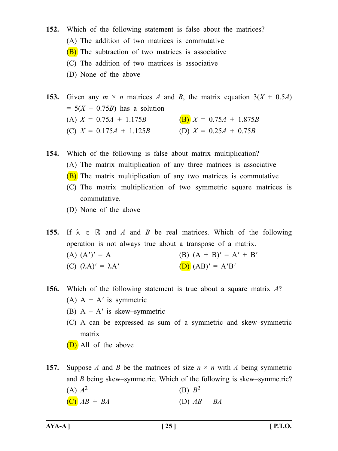- **152.** Which of the following statement is false about the matrices? (A) The addition of two matrices is commutative (B) The subtraction of two matrices is associative (C) The addition of two matrices is associative (D) None of the above
- **153.** Given any  $m \times n$  matrices *A* and *B*, the matrix equation  $3(X + 0.5A)$  $= 5(X - 0.75B)$  has a solution (A)  $X = 0.75A + 1.175B$  (B)  $X = 0.75A + 1.875B$ (C)  $X = 0.175A + 1.125B$  (D)  $X = 0.25A + 0.75B$

**154.** Which of the following is false about matrix multiplication?

- (A) The matrix multiplication of any three matrices is associative
- (B) The matrix multiplication of any two matrices is commutative
- (C) The matrix multiplication of two symmetric square matrices is commutative.
- (D) None of the above

**155.** If  $\lambda \in \mathbb{R}$  and *A* and *B* be real matrices. Which of the following operation is not always true about a transpose of a matrix. (A)  $(A')' = A$  (B)  $(A + B)' = A' + B'$ (C)  $(λA)' = λA'$  (D)  $(AB)' = A'B'$ 

#### **156.** Which of the following statement is true about a square matrix *A*?

- (A)  $A + A'$  is symmetric
- (B) A A*'* is skew–symmetric
- (C) A can be expressed as sum of a symmetric and skew–symmetric matrix
- (D) All of the above
- **157.** Suppose *A* and *B* be the matrices of size  $n \times n$  with *A* being symmetric and *B* being skew–symmetric. Which of the following is skew–symmetric? (A)  $A^2$  (B)  $B^2$  $(C)$   $AB + BA$  (D)  $AB - BA$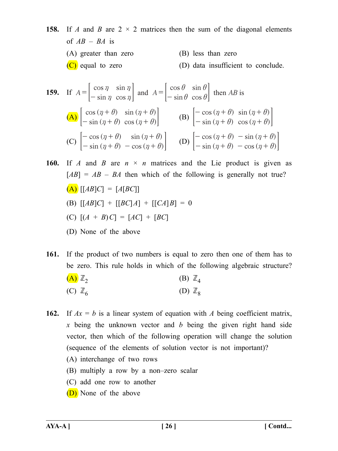**158.** If *A* and *B* are  $2 \times 2$  matrices then the sum of the diagonal elements of  $AB - BA$  is (A) greater than zero (B) less than zero (C) equal to zero (D) data insufficient to conclude.

**159.** If 
$$
A = \begin{bmatrix} \cos \eta & \sin \eta \\ -\sin \eta & \cos \eta \end{bmatrix}
$$
 and  $A = \begin{bmatrix} \cos \theta & \sin \theta \\ -\sin \theta & \cos \theta \end{bmatrix}$  then AB is  
\n(A)  $\begin{bmatrix} \cos (\eta + \theta) & \sin (\eta + \theta) \\ -\sin (\eta + \theta) & \cos (\eta + \theta) \end{bmatrix}$   
\n(B)  $\begin{bmatrix} -\cos (\eta + \theta) & \sin (\eta + \theta) \\ -\sin (\eta + \theta) & \cos (\eta + \theta) \end{bmatrix}$   
\n(C)  $\begin{bmatrix} -\cos (\eta + \theta) & \sin (\eta + \theta) \\ -\sin (\eta + \theta) & -\cos (\eta + \theta) \end{bmatrix}$   
\n(D)  $\begin{bmatrix} -\cos (\eta + \theta) & -\sin (\eta + \theta) \\ -\sin (\eta + \theta) & -\cos (\eta + \theta) \end{bmatrix}$ 

**160.** If *A* and *B* are  $n \times n$  matrices and the Lie product is given as  $[AB] = AB - BA$  then which of the following is generally not true?  $(A)$   $[AB]C$  =  $[A[BC]$ (B)  $[ [AB]C] + [ [BC]A] + [ [CA]B] = 0$ (C) [(*A* + *B*)*C*] = [*AC*] + [*BC*] (D) None of the above

**161.** If the product of two numbers is equal to zero then one of them has to be zero. This rule holds in which of the following algebraic structure?

$$
\begin{array}{ccc}\n\textbf{(A)} \ \mathbb{Z}_2 & \textbf{(B)} \ \mathbb{Z}_4 \\
\textbf{(C)} \ \mathbb{Z}_6 & \textbf{(D)} \ \mathbb{Z}_8\n\end{array}
$$

- **162.** If  $Ax = b$  is a linear system of equation with *A* being coefficient matrix, *x* being the unknown vector and *b* being the given right hand side vector, then which of the following operation will change the solution (sequence of the elements of solution vector is not important)?
	- (A) interchange of two rows
	- (B) multiply a row by a non–zero scalar
	- (C) add one row to another
	- (D) None of the above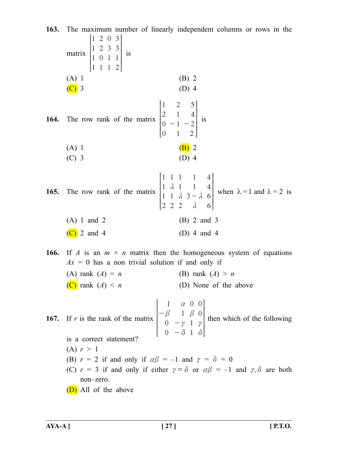**163.** The maximum number of linearly independent columns or rows in the matrix 1 1 1 1 2 2 0 1 0 3 1 1 3 3 1 2  $\frac{1}{2}$   $\frac{1}{2}$   $\frac{1}{2}$ L<br>T I I I  $\parallel$  $\overline{1}$  $\mathsf I$  $\mathsf I$  $\overline{\phantom{a}}$  $\parallel$  is  $(A) 1$  (B) 2  $(C)$  3 (D) 4 **164.** The row rank of the matrix 1 2 0 0 2 1 1 1 5 4 2 2  $-1 -$ R L<br>. S S S  $\parallel$  $\overline{1}$  $\overline{a}$  $\mathsf I$  $\mathsf I$  $\mathsf I$  $\parallel$  is (A) 1 (B) 2  $(C)$  3 (D) 4 **165.** The row rank of the matrix 1 1 1 2 1 1 2 1 1 2 1 1 3 4 4 6 6 *m m m m* - R L<br>. S S S  $\overline{\phantom{a}}$  $\overline{1}$  $\overline{1}$  $\mathsf I$  $\mathsf I$  $\overline{\phantom{a}}$  $\parallel$ when  $\lambda = 1$  and  $\lambda = 2$  is (A) 1 and 2 (B) 2 and 3 (C) 2 and 4 (D) 4 and 4 **166.** If *A* is an  $m \times n$  matrix then the homogeneous system of equations  $Ax = 0$  has a non trivial solution if and only if (A) rank  $(A) = n$  (B) rank  $(A) > n$ (C) rank  $(A) \leq n$  (D) None of the above **167.** If *r* is the rank of the matrix 1 0 0 1 0 1 1 0  $\beta$  1  $\beta$  0 *a*  $\gamma$ *d b*  $\gamma$ *d* - - - R L<br>. l l l  $\overline{\phantom{a}}$  $\overline{1}$  $\overline{1}$  $\overline{\phantom{a}}$  $\overline{\phantom{a}}$  $\overline{\phantom{a}}$  $\mid$  then which of the following is a correct statement? (A)  $r > 1$ (B)  $r = 2$  if and only if  $\alpha\beta = -1$  and  $\gamma = \delta = 0$ (C)  $r = 3$  if and only if either  $\gamma = \delta$  or  $\alpha \beta = -1$  and  $\gamma$ ,  $\delta$  are both non–zero. (D) All of the above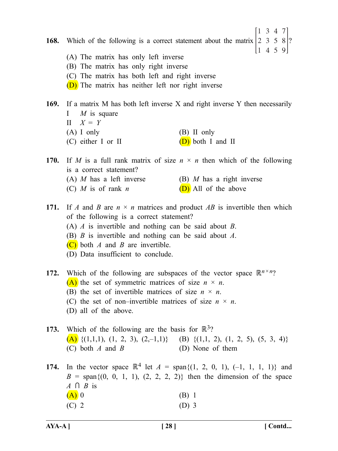**168.** Which of the following is a correct statement about the matrix  $\begin{bmatrix} 2 & 3 & 5 & 8 \end{bmatrix}$ ? 1 3 4 7 1 4 5 9 (A) The matrix has only left inverse (B) The matrix has only right inverse (C) The matrix has both left and right inverse (D) The matrix has neither left nor right inverse

**169.** If a matrix M has both left inverse X and right inverse Y then necessarily I *M* is square  $II \quad X = Y$ 

- (A) I only (B) II only (C) either I or II  $(D)$  both I and II
- **170.** If *M* is a full rank matrix of size  $n \times n$  then which of the following is a correct statement?
	- (A) *M* has a left inverse (B) *M* has a right inverse
	- (C)  $M$  is of rank  $n$  (D) All of the above
- **171.** If *A* and *B* are *n* × *n* matrices and product *AB* is invertible then which of the following is a correct statement? (A) *A* is invertible and nothing can be said about *B*. (B) *B* is invertible and nothing can be said about *A*. (C) both *A* and *B* are invertible.
	- (D) Data insufficient to conclude.

**172.** Which of the following are subspaces of the vector space  $\mathbb{R}^{n \times n}$ ? (A) the set of symmetric matrices of size  $n \times n$ .

- (B) the set of invertible matrices of size  $n \times n$ .
- (C) the set of non–invertible matrices of size  $n \times n$ .
- (D) all of the above.
- **173.** Which of the following are the basis for  $\mathbb{R}^3$ ? (A)  $\{(1,1,1), (1, 2, 3), (2,-1,1)\}$  (B)  $\{(1,1, 2), (1, 2, 5), (5, 3, 4)\}$ (C) both *A* and *B* (D) None of them

**174.** In the vector space  $\mathbb{R}^4$  let  $A = \text{span}\{(1, 2, 0, 1), (-1, 1, 1, 1)\}$  and  $B = \text{span}\{(0, 0, 1, 1), (2, 2, 2, 2)\}\$  then the dimension of the space  $A \cap B$  is  $(A)$  0 (B) 1  $(C)$  2 (D) 3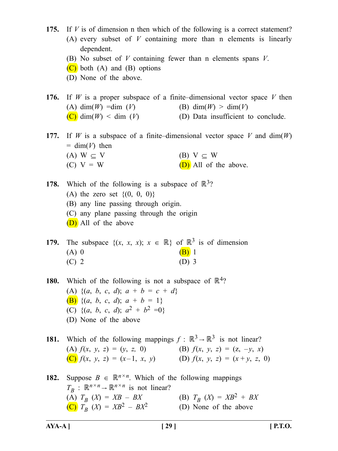- **175.** If *V* is of dimension n then which of the following is a correct statement? (A) every subset of *V* containing more than n elements is linearly dependent.
	- (B) No subset of *V* containing fewer than n elements spans *V*.
	- $(C)$  both  $(A)$  and  $(B)$  options
	- (D) None of the above.

**176.** If *W* is a proper subspace of a finite–dimensional vector space *V* then (A) dim(*W*) =dim (*V*) (B) dim(*W*) > dim(*V*)  $(C)$  dim $(W)$  < dim  $(V)$  (D) Data insufficient to conclude.

- **177.** If *W* is a subspace of a finite–dimensional vector space *V* and dim(*W*)  $=$  dim( $V$ ) then (A) W  $\subseteq$  V (B) V  $\subseteq$  W
	- (C)  $V = W$  (D) All of the above.

**178.** Which of the following is a subspace of  $\mathbb{R}^3$ ? (A) the zero set  $\{(0, 0, 0)\}$ (B) any line passing through origin. (C) any plane passing through the origin (D) All of the above

**179.** The subspace  $\{(x, x, x); x \in \mathbb{R}\}\$  of  $\mathbb{R}^3$  is of dimension (A) 0  $(B)$  1 (C) 2 (D) 3

**180.** Which of the following is not a subspace of  $\mathbb{R}^4$ ? (A)  $\{(a, b, c, d); a + b = c + d\}$  $(B)$  {(*a*, *b*, *c*, *d*); *a* + *b* = 1} (C)  $\{(a, b, c, d)\colon a^2 + b^2 = 0\}$ (D) None of the above

**181.** Which of the following mappings  $f : \mathbb{R}^3 \to \mathbb{R}^3$  is not linear? (A)  $f(x, y, z) = (y, z, 0)$  (B)  $f(x, y, z) = (z, -y, x)$ (C)  $f(x, y, z) = (x-1, x, y)$  (D)  $f(x, y, z) = (x+y, z, 0)$ 

**182.** Suppose  $B \in \mathbb{R}^{n \times n}$ . Which of the following mappings  $T_B$  :  $\mathbb{R}^{n \times n} \to \mathbb{R}^{n \times n}$  is not linear? (A)  $T_B$  (X) =  $XB - BX$  (B)  $T_B$  (X) =  $XB^2 + BX$  $(C)$   $T_B$   $(X) = XB^2 - BX^2$  (D) None of the above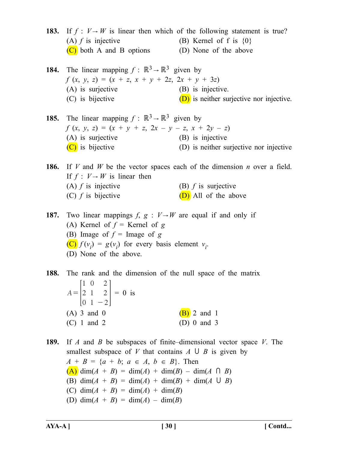- **183.** If  $f: V \rightarrow W$  is linear then which of the following statement is true? (A)  $f$  is injective (B) Kernel of f is  $\{0\}$ (C) both A and B options (D) None of the above **184.** The linear mapping  $f : \mathbb{R}^3 \rightarrow \mathbb{R}^3$  given by  $f(x, y, z) = (x + z, x + y + 2z, 2x + y + 3z)$ (A) is surjective (B) is injective. (C) is bijective  $(D)$  is neither surjective nor injective. **185.** The linear mapping  $f : \mathbb{R}^3 \to \mathbb{R}^3$  given by  $f(x, y, z) = (x + y + z, 2x - y - z, x + 2y - z)$ (A) is surjective (B) is injective (C) is bijective (D) is neither surjective nor injective **186.** If *V* and *W* be the vector spaces each of the dimension *n* over a field. If  $f: V \rightarrow W$  is linear then (A)  $f$  is injective (B)  $f$  is surjective (C)  $f$  is bijective  $(D)$  All of the above **187.** Two linear mappings  $f$ ,  $g$  :  $V \rightarrow W$  are equal if and only if
- (A) Kernel of  $f =$  Kernel of  $g$ (B) Image of  $f = \text{Image of } g$  $(\mathbf{C}) f(v_i) = g(v_i)$  for every basis element  $v_i$ . (D) None of the above.

**188.** The rank and the dimension of the null space of the matrix *A* 1 2 0 0 1 1 2 2 2 = -  $|2 \; 1 \; 2| = 0$  is (A) 3 and 0 (B) 2 and 1 (C) 1 and 2 (D) 0 and 3

**189.** If *A* and *B* be subspaces of finite–dimensional vector space *V*. The smallest subspace of *V* that contains  $A \cup B$  is given by  $A + B = \{a + b; a \in A, b \in B\}$ . Then  $(A)$  dim(*A* + *B*) = dim(*A*) + dim(*B*) – dim(*A*  $\cap$  *B*) (B)  $\dim(A + B) = \dim(A) + \dim(B) + \dim(A \cup B)$ (C) dim(*A* + *B*) = dim(*A*) + dim(*B*) (D) dim(*A* + *B*) = dim(*A*) – dim(*B*)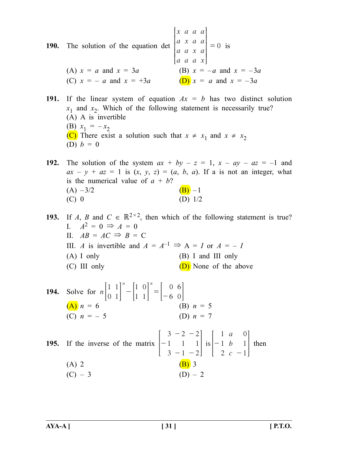**190.** The solution of the equation det  $\begin{bmatrix} x & a & a & a \end{bmatrix}$ *a x a a*  $\begin{vmatrix} a & a & x & a \end{vmatrix}$ *a a a x*  $= 0$ L. S S S  $\left| \begin{matrix} a & a & x \end{matrix} \right|$  $\overline{a}$  $\mathsf I$  $\mathsf I$  $\vert = 0$  is (A)  $x = a$  and  $x = 3a$  (B)  $x = -a$  and  $x = -3a$ (C)  $x = -a$  and  $x = +3a$  (D)  $x = a$  and  $x = -3a$ 

**191.** If the linear system of equation  $Ax = b$  has two distinct solution  $x_1$  and  $x_2$ . Which of the following statement is necessarily true? (A) A is invertible (B)  $x_1 = -x_2$ (C) There exist a solution such that  $x \neq x_1$  and  $x \neq x_2$ (D)  $b = 0$ 

**192.** The solution of the system  $ax + by - z = 1$ ,  $x - ay - az = -1$  and  $ax - y + az = 1$  is  $(x, y, z) = (a, b, a)$ . If a is not an integer, what is the numerical value of  $a + b$ ? (A)  $-3/2$  (B)  $-1$ (C)  $0$  (D)  $1/2$ 

**193.** If *A*, *B* and  $C \in \mathbb{R}^{2 \times 2}$ , then which of the following statement is true? I.  $A^2 = 0 \Rightarrow A = 0$ II.  $AB = AC \implies B = C$ III. *A* is invertible and  $A = A^{-1} \implies A = I$  or  $A = -I$ (A) I only (B) I and III only (C) III only  $(D)$  None of the above

194. Solve for 
$$
n \begin{bmatrix} 1 & 1 \\ 0 & 1 \end{bmatrix}^n - \begin{bmatrix} 1 & 0 \\ 1 & 1 \end{bmatrix}^n = \begin{bmatrix} 0 & 6 \\ -6 & 0 \end{bmatrix}
$$
  
\n(A)  $n = 6$   
\n(C)  $n = -5$   
\n(D)  $n = 7$   
\n195. If the inverse of the matrix  $\begin{bmatrix} 3 & -2 & -2 \\ -1 & 1 & 1 \\ 3 & -1 & -2 \end{bmatrix}$  is  $\begin{bmatrix} 1 & a & 0 \\ -1 & b & 1 \\ 2 & c & -1 \end{bmatrix}$  then  
\n(A) 2  
\n(B) 3  
\n(C) - 3  
\n(D) - 2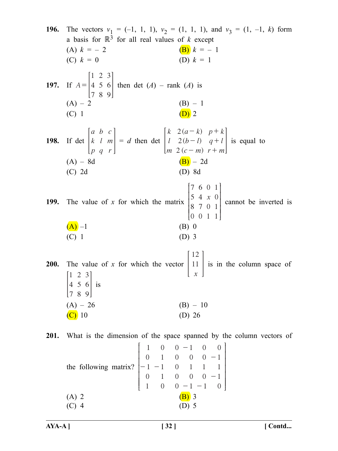**196.** The vectors  $v_1 = (-1, 1, 1), v_2 = (1, 1, 1),$  and  $v_3 = (1, -1, k)$  form a basis for  $\mathbb{R}^3$  for all real values of *k* except (A)  $k = -2$  (B)  $k = -1$ (C)  $k = 0$  (D)  $k = 1$ **197.** If *A* 1 4 7 2 5 8 3 6 9  $= |4 \ 5 \ 6|$  then det  $(A)$  – rank  $(A)$  is  $(A) - 2$  (B) – 1 (C) 1 (D) 2 **198.** If det *a k p b l q c m r*  $\begin{vmatrix} k & l & m \end{vmatrix} = d$  then det  $(a - k)$  $(b-l)$  $(c-m)$ *k l m*  $a - k$  $b - l$ *c m p k*  $q + l$ *r m* 2 2 2 - - - + + +  $\begin{vmatrix} l & 2(b-l) & q+l \end{vmatrix}$  is equal to  $(A) - 8d$  (B) – 2d (C) 2d (D) 8d **199.** The value of x for which the matrix  $\begin{bmatrix} 5 & 4 & x \\ 0 & 7 & 0 \end{bmatrix}$ 7 5 8 0 6 4 7 0 0 0 1 1 0 1 1 R L<br>. S S S  $\parallel$  $\overline{1}$  $\overline{a}$  $\mathsf{l}$  $\overline{\phantom{a}}$  $\mathsf{l}$  $\parallel$  cannot be inverted is  $(A)$  –1 (B) 0 (C) 1 (D) 3 **200.** The value of *x* for which the vector *x* 12 | 11 | is in the column space of 1 4 7 2 5 8 3 6 9  $\begin{vmatrix} 4 & 5 & 6 \end{vmatrix}$  is  $(A) - 26$  (B) – 10  $(C)$  10 (D) 26 **201.** What is the dimension of the space spanned by the column vectors of the following matrix? 1 0 1 0 1 0 1 1 1 0 0 0 0 0 0 1 0 1 0 1 0 0 1 0 1 0 1 1 1 0  $-1 -$ -  $-1 -$ - - R I I I I I S S  $\overline{1}$  $\overline{\phantom{a}}$  $\overline{\phantom{a}}$ W W  $\mathsf I$  $\vert$ 

L<br>T (A) 2 (B) 3 (C) 4 (D) 5  $\overline{a}$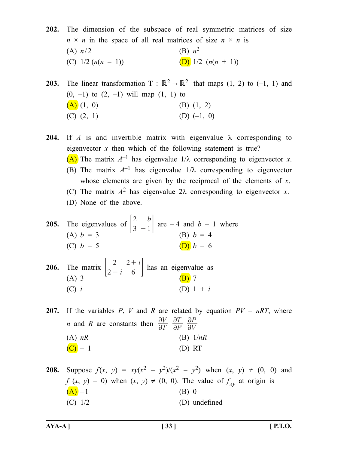**202.** The dimension of the subspace of real symmetric matrices of size  $n \times n$  in the space of all real matrices of size  $n \times n$  is (A)  $n/2$  (B)  $n^2$ (C)  $1/2 (n(n-1))$  (D)  $1/2 (n(n+1))$ 

**203.** The linear transformation  $T : \mathbb{R}^2 \to \mathbb{R}^2$  that maps (1, 2) to (-1, 1) and  $(0, -1)$  to  $(2, -1)$  will map  $(1, 1)$  to  $(A)$  (1, 0) (B) (1, 2) (C)  $(2, 1)$  (D)  $(-1, 0)$ 

**204.** If *A* is and invertible matrix with eigenvalue  $\lambda$  corresponding to eigenvector *x* then which of the following statement is true? (A) The matrix  $A^{-1}$  has eigenvalue  $1/\lambda$  corresponding to eigenvector *x*. (B) The matrix  $A^{-1}$  has eigenvalue  $1/\lambda$  corresponding to eigenvector whose elements are given by the reciprocal of the elements of *x*. (C) The matrix  $A^2$  has eigenvalue  $2\lambda$  corresponding to eigenvector *x*. (D) None of the above.

- **205.** The eigenvalues of  $\begin{bmatrix} 2 & b \\ 3 & -1 \end{bmatrix}$  are  $-4$  and  $b 1$  where (A)  $b = 3$  (B)  $b = 4$ (C)  $b = 5$  (D)  $b = 6$
- **206.** The matrix  $\begin{bmatrix} 2-i \end{bmatrix}$ 2 *i* 2 2  $\begin{bmatrix} 2 & 2+i \\ 2-i & 6 \end{bmatrix}$  has an eigenvalue as (A) 3 (B) 7 (C) *i* (D)  $1 + i$

**207.** If the variables *P*, *V* and *R* are related by equation  $PV = nRT$ , where *n* and *R* are constants then  $\frac{\partial V}{\partial T}$ *P T V P*  $\partial$  $\overline{\partial}$  $\partial$  $\partial$  $\partial$  $\partial$ (A) *nR* (B) 1/*nR*  $(C) - 1$  (D) RT

**208.** Suppose  $f(x, y) = xy(x^2 - y^2)/(x^2 - y^2)$  when  $(x, y) \neq (0, 0)$  and  $f(x, y) = 0$ ) when  $(x, y) \neq (0, 0)$ . The value of  $f_{xy}$  at origin is  $(A)$  – 1 (B) 0  $(C)$  1/2 (D) undefined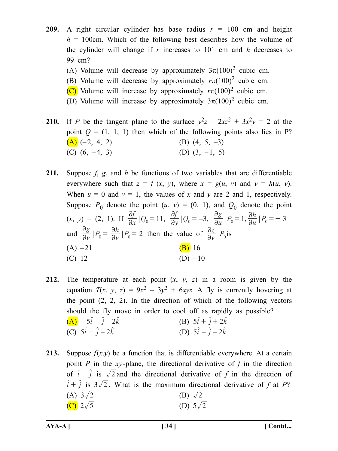**209.** A right circular cylinder has base radius  $r = 100$  cm and height  $h = 100$ cm. Which of the following best describes how the volume of the cylinder will change if *r* increases to 101 cm and *h* decreases to 99 cm?

- (A) Volume will decrease by approximately  $3\pi(100)^2$  cubic cm.
- (B) Volume will decrease by approximately  $r\pi(100)^2$  cubic cm.
- (C) Volume will increase by approximately  $r\pi(100)^2$  cubic cm.
- (D) Volume will increase by approximately  $3\pi(100)^2$  cubic cm.

**210.** If *P* be the tangent plane to the surface  $y^2z - 2xz^2 + 3x^2y = 2$  at the point  $Q = (1, 1, 1)$  then which of the following points also lies in P?  $(A)$  (-2, 4, 2) (B) (4, 5, -3) (C)  $(6, -4, 3)$  (D)  $(3, -1, 5)$ 

- **211.** Suppose *f*, *g*, and *h* be functions of two variables that are differentiable everywhere such that  $z = f(x, y)$ , where  $x = g(u, v)$  and  $y = h(u, v)$ . When  $u = 0$  and  $v = 1$ , the values of x and y are 2 and 1, respectively. Suppose  $P_0$  denote the point  $(u, v) = (0, 1)$ , and  $Q_0$  denote the point  $f(x, y) = (2, 1)$ . If  $\frac{\partial f}{\partial x} |Q_0 = 11$ ,  $\frac{\partial f}{\partial y} |Q_0 = -3$ ,  $\frac{\partial g}{\partial u} |P_0 = 1$ ,  $\frac{\partial h}{\partial u} |P_0 = -3$ and  $\frac{\partial g}{\partial v} | P_0 = \frac{\partial h}{\partial v} | P_0 = 2$  $=\frac{\partial h}{\partial v} |P_0 = 2$  then the value of  $\frac{\partial z}{\partial v} |P_0$  is  $(A) -21$  (B) 16 (C)  $12$  (D)  $-10$
- **212.** The temperature at each point  $(x, y, z)$  in a room is given by the equation  $T(x, y, z) = 9x^2 - 3y^2 + 6xyz$ . A fly is currently hovering at the point  $(2, 2, 2)$ . In the direction of which of the following vectors should the fly move in order to cool off as rapidly as possible? (A)  $-5\hat{i} - \hat{j} - 2\hat{k}$  (B)  $5\hat{i} + \hat{j} + 2\hat{k}$ (C)  $5\hat{i} + \hat{j} - 2\hat{k}$  (D)  $5\hat{i} - \hat{j} - 2\hat{k}$
- **213.** Suppose  $f(x,y)$  be a function that is differentiable everywhere. At a certain point  $P$  in the *xy*-plane, the directional derivative of  $f$  in the direction of  $\hat{i} - \hat{j}$  is  $\sqrt{2}$  and the directional derivative of *f* in the direction of  $\hat{i} + \hat{j}$  is  $3\sqrt{2}$ . What is the maximum directional derivative of *f* at *P*? (A)  $3\sqrt{2}$  (B)  $\sqrt{2}$ (C)  $2\sqrt{5}$  (D)  $5\sqrt{2}$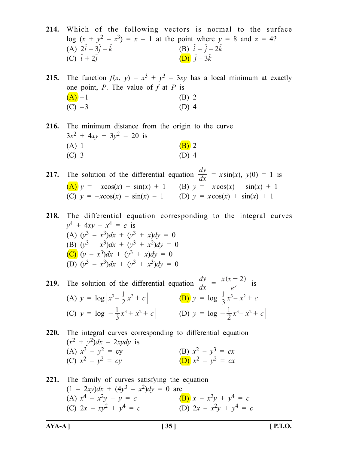**214.** Which of the following vectors is normal to the surface log  $(x + y^2 - z^3) = x - 1$  at the point where  $y = 8$  and  $z = 4$ ?<br>
(A)  $2\hat{i} - 3\hat{j} - \hat{k}$ <br>
(B)  $\hat{i} - \hat{j} - 2\hat{k}$ (A)  $2\hat{i} - 3\hat{j} - \hat{k}$ (C)  $\hat{i} + 2\hat{i}$  (D)  $\hat{i} - 3\hat{k}$ 

**215.** The function  $f(x, y) = x^3 + y^3 - 3xy$  has a local minimum at exactly one point, *P*. The value of *f* at *P* is  $(A)$  – 1 (B) 2  $(C) -3$  (D) 4

**216.** The minimum distance from the origin to the curve  $3x^2 + 4xy + 3y^2 = 20$  is (A) 1 (B) 2  $(C)$  3 (D) 4

**217.** The solution of the differential equation  $\frac{dy}{dx}$ *dy*  $= x \sin(x), y(0) = 1$  is (A)  $y = -x\cos(x) + \sin(x) + 1$  (B)  $y = -x\cos(x) - \sin(x) + 1$ (C)  $y = -x\cos(x) - \sin(x) - 1$  (D)  $y = x\cos(x) + \sin(x) + 1$ 

**218.** The differential equation corresponding to the integral curves  $y^4 + 4xy - x^4 = c$  is (A)  $(y^3 - x^3)dx + (y^3 + x)dy = 0$ (B)  $(v^3 - x^3)dx + (v^3 + x^2)dv = 0$ (C) (*y* – *x*3)*dx* + (*y*3 + *x*)*dy* = 0  $\overline{(\text{D})}$   $(y^3 - x^3)dx + (y^3 + x^3)dy = 0$ 

**219.** The solution of the differential equation  $\frac{dy}{dx}$ *dy* =  $(x - 2)$ *e*  $x(x-2)$  $\frac{(x-2)}{y}$  is (A)  $y = \log |x^3 - \frac{1}{2}x^2 + c|$  <br> (B)  $y = \log |\frac{1}{3}x^3 - x^2 + c|$ (C)  $y = \log \left| -\frac{1}{3}x^3 + x^2 + c \right|$  (D)  $y = \log \left| -\frac{1}{2}x^3 - x^2 + c \right|$ 

220. The integral curves corresponding to differential equation  
\n
$$
(x^2 + y^2)dx - 2xydy
$$
 is  
\n(A)  $x^3 - y^2 = cy$   
\n(B)  $x^2 - y^3 = cx$   
\n(C)  $x^2 - y^2 = cy$   
\n(D)  $x^2 - y^2 = cx$ 

**221.** The family of curves satisfying the equation  $(1 - 2xy)dx + (4y^3 - x^2)dy = 0$  are (A)  $x^4 - x^2y + y = c$  (B)  $x - x^2y + y^4 = c$ (C)  $2x - xy^2 + y^4 = c$  (D)  $2x - x^2y + y^4 = c$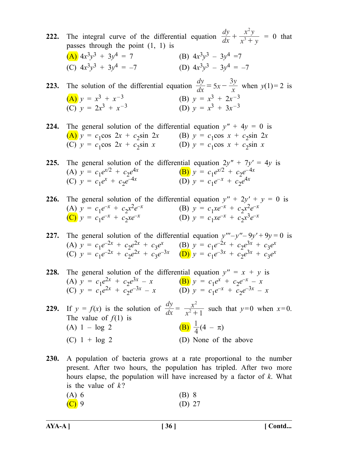**222.** The integral curve of the differential equation  $\frac{dy}{dx}$ *dy*  $x^3 + y$  $x^2y$ 3 2  $+\frac{x}{x^3+y}$  = 0 that passes through the point (1, 1) is (A)  $4x^3y^3 + 3y^4 = 7$  (B)  $4x^3y^3 - 3y^4 = 7$ (C)  $4x^3y^3 + 3y^4 = -7$  (D)  $4x^3y^3 - 3y^4 = -7$ **223.** The solution of the differential equation  $\frac{dy}{dx}$ *dy*  $= 5x - \frac{3y}{x}$  when *y*(1)= 2 is (A)  $y = x^3 + x^{-3}$  (B)  $y = x^3 + 2x^{-3}$ (C)  $y = 2x^3 + x^{-3}$  (D)  $y = x^3 + 3x^{-3}$ **224.** The general solution of the differential equation  $y'' + 4y = 0$  is (A)  $y = c_1 \cos 2x + c_2 \sin 2x$  (B)  $y = c_1 \cos x + c_2 \sin 2x$ (C)  $y = c_1 \cos 2x + c_2 \sin x$  (D)  $y = c_1 \cos x + c_2 \sin x$ **225.** The general solution of the differential equation  $2y'' + 7y' = 4y$  is (A)  $y = c_1 e^{x/2} + c_2 e^{4x}$ <br>
(C)  $y = c_1 e^x + c_2 e^{-4x}$ <br>
(B)  $y = c_1 e^{x/2} + c_2 e^{-4x}$ <br>
(D)  $y = c_1 e^{-x} + c_2 e^{4x}$  $(D)$   $y = c_1 e^{-x} + c_2 e^{4x}$ **226.** The general solution of the differential equation  $y'' + 2y' + y = 0$  is (A)  $y = c_1 e^{-x} + c_2 x^2 e^{-x}$  (B)  $y = c_1 x e^{-x} + c_2 x^2 e^{-x}$ (A)  $y = c_1 e^{-x} + c_2 x^2 e^{-x}$  (B)  $y = c_1 x e^{-x} + c_2 x^2 e^{-x}$ (C)  $y = c_1 e^{-x} + c_2 x e^{-x}$  (D)  $y = c_1 x e^{-x} + c_2 x^3 e^{-x}$ **227.** The general solution of the differential equation  $y''' - y'' - 9y' + 9y = 0$  is (A)  $y = c_1 e^{-2x} + c_2 e^{2x} + c_3 e^x$  (B)  $y = c_1 e^{-2x} + c_2 e^{3x} + c_3 e^x$ (C)  $y = c_1 e^{-2x} + c_2 e^{2x} + c_3 e^{-3x}$  (D)  $y = c_1 e^{-3x} + c_2 e^{3x} + c_3 e^{x}$ **228.** The general solution of the differential equation  $y'' = x + y$  is (A)  $y = c_1 e^{2x} + c_2 e^{3x} - x$  (B)  $y = c_1 e^{x} + c_2 e^{-x} - x$ (C)  $y = c_1 e^{2x} + c_2 e^{-3x} - x$  (D)  $y = c_1 e^{-x} + c_2 e^{-3x} - x$ **229.** If  $y = f(x)$  is the solution of  $\frac{dy}{dx}$ *dy*  $=$   $\frac{1}{x}$ *x*  $^{2}+1$ 2  $\frac{x}{x+1}$  such that  $y=0$  when  $x=0$ . The value of  $f(1)$  is **(B)**  $\frac{1}{4}$  (4 –  $\pi$ )

(A)  $1 - log 2$ (C)  $1 + \log 2$  (D) None of the above

**230.** A population of bacteria grows at a rate proportional to the number present. After two hours, the population has tripled. After two more hours elapse, the population will have increased by a factor of *k*. What is the value of  $k$ ?

| $(A)$ 6                   | $(B)$ 8  |  |
|---------------------------|----------|--|
| $\left(\text{C}\right)$ 9 | (D) $27$ |  |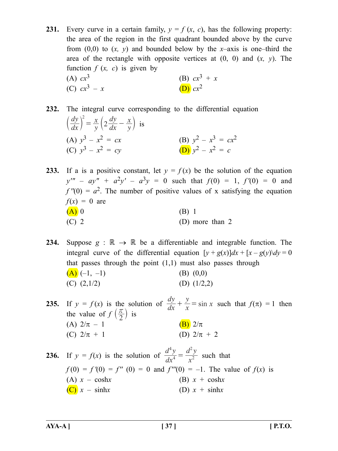- **231.** Every curve in a certain family,  $y = f(x, c)$ , has the following property: the area of the region in the first quadrant bounded above by the curve from (0,0) to (*x, y*) and bounded below by the *x*–axis is one–third the area of the rectangle with opposite vertices at (0, 0) and (*x, y*). The function  $f(x, c)$  is given by (A)  $cx^3$  (B)  $cx^3 + x$ (C)  $cx^3 - x$  (D)  $cx^2$
- **232.** The integral curve corresponding to the differential equation
	- *dx dy y x dx dy*  $\int_0^2 = \frac{x}{y} \left( 2 \frac{dy}{dx} - \frac{x}{y} \right)$  $\left(\frac{dy}{dx}\right) = \frac{x}{y} \left(2\frac{dy}{dx} - \frac{x}{y}\right)$  is (A)  $y^3 - x^2 = cx$ <br>
	(B)  $y^2 - x^3 = cx^2$ <br>
	(C)  $y^3 - x^2 = cy$ <br>
	(D)  $y^2 - x^2 = c$  $(C)$   $v^3 - x^2 = cv$
- **233.** If a is a positive constant, let  $y = f(x)$  be the solution of the equation  $y''' - ay'' + a^2y' - a^3y = 0$  such that  $f(0) = 1$ ,  $f'(0) = 0$  and  $f''(0) = a^2$ . The number of positive values of x satisfying the equation  $f(x) = 0$  are  $(A)$  0 (B) 1  $(C)$  2 (D) more than 2

**234.** Suppose  $g : \mathbb{R} \to \mathbb{R}$  be a differentiable and integrable function. The integral curve of the differential equation  $[y + g(x)]dx + [x - g(y)]dy = 0$ that passes through the point  $(1,1)$  must also passes through  $(A)$  (-1, -1) (B) (0,0) (C)  $(2,1/2)$  (D)  $(1/2,2)$ 

**235.** If  $y = f(x)$  is the solution of  $\frac{dy}{dx} + \frac{y}{x} = \sin x$ *dy*  $+\frac{y}{x} = \sin x$  such that  $f(\pi) = 1$  then the value of  $f\left(\frac{\pi}{2}\right)$  is (A)  $2/\pi - 1$  (B)  $2/\pi$ (C)  $2/\pi + 1$  (D)  $2/\pi + 2$ 

**236.** If  $y = f(x)$  is the solution of  $\frac{d}{dx}$  $d^4y$ *x*  $d^2y$ 4 4 2 2  $=\frac{u^2}{v^2}$  such that  $f(0) = f'(0) = f''(0) = 0$  and  $f'''(0) = -1$ . The value of  $f(x)$  is (A)  $x - \cosh x$  (B)  $x + \cosh x$  $\overline{(\mathbf{C})} \mathbf{x} - \sinh x$  (D)  $\mathbf{x} + \sinh x$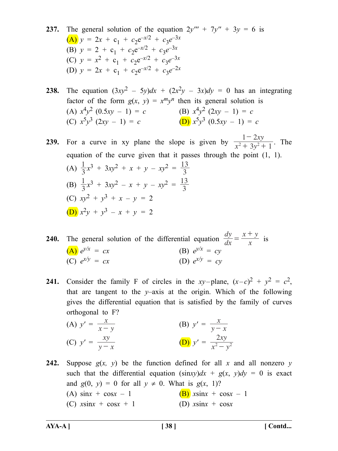- **237.** The general solution of the equation  $2y'' + 7y'' + 3y = 6$  is  $(A)$   $y = 2x + c_1 + c_2e^{-x/2} + c_3e^{-3x}$ (B)  $y = 2 + c_1 + c_2 e^{-x/2} + c_3 e^{-3x}$ (C)  $y = x^2 + c_1 + c_2 e^{-x/2} + c_3 e^{-3x}$ (D)  $y = 2x + c_1 + c_2e^{-x/2} + c_3e^{-2x}$
- **238.** The equation  $(3xy^2 5y)dx + (2x^2y 3x)dy = 0$  has an integrating factor of the form  $g(x, y) = x^m y^n$  then its general solution is (A)  $x^4y^2$  (0.5*xy* – 1) = *c*<br>(C)  $x^5y^3$  (2*xy* – 1) = *c*<br>(D)  $x^5y^3$  (0.5*xy* – 1) = *c* (C)  $x^5y^3$  (2*xy* – 1) = *c*

**239.** For a curve in xy plane the slope is given by  $\frac{1}{x^2 + 3y}$ *xy*  $3y^2 + 1$  $1 - 2$  $\frac{1-2xy}{x^2+3y^2+1}$ . The equation of the curve given that it passes through the point (1, 1). (A)  $\frac{1}{3}x^3 + 3xy^2 + x + y - xy^2 = \frac{13}{3}$ (B)  $\frac{1}{3}x^3 + 3xy^2 - x + y - xy^2 = \frac{13}{3}$ (C) *xy*2 + *y*3 + *x* – *y =* 2 (D) *x*2*y* + *y*3 – *x* + *y =* 2

**240.** The general solution of the differential equation  $\frac{dy}{dx}$ *dy*  $=\frac{x+y}{x}$  is (A)  $e^{y/x} = cx$  (B)  $e^{y/x} = cy$ (C)  $e^{x/y} = cx$  (D)  $e^{x/y} = cy$ 

**241.** Consider the family F of circles in the *xy*–plane,  $(x-c)^2 + y^2 = c^2$ , that are tangent to the *y*–axis at the origin. Which of the following gives the differential equation that is satisfied by the family of curves orthogonal to F?

(A) 
$$
y' = \frac{x}{x - y}
$$
  
\n(B)  $y' = \frac{x}{y - x}$   
\n(C)  $y' = \frac{xy}{y - x}$   
\n(D)  $y' = \frac{2xy}{x^2 - y^2}$ 

**242.** Suppose  $g(x, y)$  be the function defined for all x and all nonzero y such that the differential equation  $(\sin xy)dx + g(x, y)dy = 0$  is exact and  $g(0, y) = 0$  for all  $y \neq 0$ . What is  $g(x, 1)$ ? (A)  $\sin x + \cos x - 1$  (B)  $x \sin x + \cos x - 1$ (C)  $x\sin x + \cos x + 1$  (D)  $x\sin x + \cos x$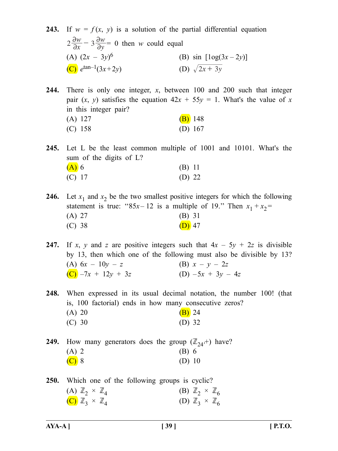**243.** If  $w = f(x, y)$  is a solution of the partial differential equation *x w*  $2\frac{\partial w}{\partial x} - 3\frac{\partial w}{\partial y}$  $-3\frac{\partial w}{\partial y} = 0$  then *w* could equal (A)  $(2x - 3y)^6$ (B) sin  $[log(3x - 2y)]$ (C)  $e^{\tan^{-1}(3x+2y)}$  (D)  $\sqrt{2x+3y}$ 

**244.** There is only one integer, *x*, between 100 and 200 such that integer pair  $(x, y)$  satisfies the equation  $42x + 55y = 1$ . What's the value of x in this integer pair?

| $(A)$ 127 | $(B)$ 148 |
|-----------|-----------|
| $(C)$ 158 | (D) $167$ |

**245.** Let L be the least common multiple of 1001 and 10101. What's the sum of the digits of L?  $(A)$  6 (B) 11 (C) 17 (D) 22

**246.** Let  $x_1$  and  $x_2$  be the two smallest positive integers for which the following statement is true: " $85x - 12$  is a multiple of 19." Then  $x_1 + x_2 =$ (A) 27 (B) 31 (C) 38 (D) 47

**247.** If *x*, *y* and *z* are positive integers such that  $4x - 5y + 2z$  is divisible by 13, then which one of the following must also be divisible by 13? (A)  $6x - 10y - z$  (B)  $x - y - 2z$  $(C)$  –7*x* + 12*y* + 3*z* (D) –5*x* + 3*y* – 4*z* 

**248.** When expressed in its usual decimal notation, the number 100! (that is, 100 factorial) ends in how many consecutive zeros? (A) 20 (B) 24

| (C) 30 | $(D)$ 32 |
|--------|----------|
|--------|----------|

**249.** How many generators does the group  $(\mathbb{Z}_{24}^+)^{\dagger}$  have? (A) 2 (B) 6  $(C)$  8 (D) 10

**250.** Which one of the following groups is cyclic? (A)  $\mathbb{Z}_2 \times \mathbb{Z}_4$ <br>
(B)  $\mathbb{Z}_2 \times \mathbb{Z}_6$ <br>
(D)  $\mathbb{Z}_3 \times \mathbb{Z}_4$ <br>
(D)  $\mathbb{Z}_3 \times \mathbb{Z}_6$ (C)  $\mathbb{Z}_3 \times \mathbb{Z}_4$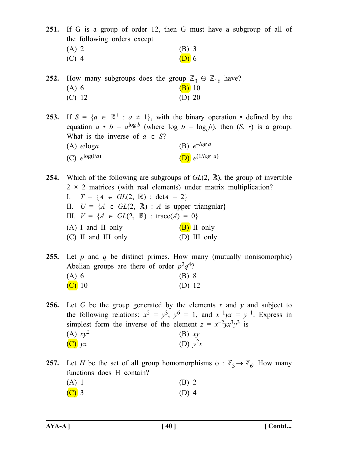**251.** If G is a group of order 12, then G must have a subgroup of all of the following orders except

| $(A)$ 2 | $(B)$ 3 |
|---------|---------|
| $(C)$ 4 | $(D)$ 6 |

**252.** How many subgroups does the group  $\mathbb{Z}_3 \oplus \mathbb{Z}_{16}$  have?<br>
(A) 6 **(B)** 10  $(B)$  10  $(C)$  12  $(D)$  20

**253.** If  $S = \{a \in \mathbb{R}^+ : a \neq 1\}$ , with the binary operation • defined by the equation  $a \cdot b = a^{\log b}$  (where  $\log b = \log_b b$ ), then  $(S, \cdot)$  is a group. What is the inverse of  $a \in S$ ? (A) *e*/log*a* (B) *e–log a* (C)  $e^{\log(1/a)}$  (D)  $e^{(1/\log a)}$ 

**254.** Which of the following are subgroups of  $GL(2, \mathbb{R})$ , the group of invertible  $2 \times 2$  matrices (with real elements) under matrix multiplication? I.  $T = \{A \in GL(2, \mathbb{R}) : \text{det}A = 2\}$ II.  $U = \{A \in GL(2, \mathbb{R}) : A \text{ is upper triangular}\}\$ III.  $V = \{A \in GL(2, \mathbb{R}) : \text{trace}(A) = 0\}$ (A) I and II only  $(B)$  II only (C) II and III only (D) III only

**255.** Let *p* and *q* be distinct primes. How many (mutually nonisomorphic) Abelian groups are there of order  $p^2q^4$ ?  $(A) 6$  (B) 8  $(C)$  10 (D) 12

**256.** Let *G* be the group generated by the elements *x* and *y* and subject to the following relations:  $x^2 = y^3$ ,  $y^6 = 1$ , and  $x^{-1}yx = y^{-1}$ . Express in simplest form the inverse of the element  $z = x^{-2}yx^3y^3$  is (A)  $xy^2$  (B)  $xy$ (C) *yx* (D)  $y^2x$ 

**257.** Let *H* be the set of all group homomorphisms  $\phi : \mathbb{Z}_3 \to \mathbb{Z}_6$ . How many functions does H contain?

| $(A)$ 1    | $(B)$ 2         |
|------------|-----------------|
| $\sqrt{2}$ | $(D)$ $\Lambda$ |

(C) 3 (D) 4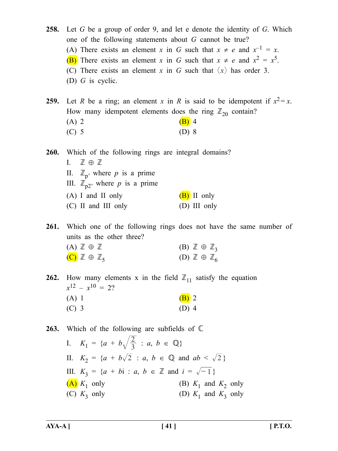**258.** Let *G* be a group of order 9, and let e denote the identity of *G*. Which one of the following statements about *G* cannot be true? (A) There exists an element *x* in *G* such that  $x \neq e$  and  $x^{-1} = x$ . (B) There exists an element *x* in *G* such that  $x \neq e$  and  $x^2 = x^5$ . (C) There exists an element *x* in *G* such that  $\langle x \rangle$  has order 3. (D) *G* is cyclic.

**259.** Let *R* be a ring; an element *x* in *R* is said to be idempotent if  $x^2 = x$ . How many idempotent elements does the ring  $\mathbb{Z}_{20}$  contain?

| $(A)$ 2 | $(B)$ 4 |  |
|---------|---------|--|
| $(C)$ 5 | $(D)$ 8 |  |

**260.** Which of the following rings are integral domains? I.  $\mathbb{Z} \oplus \mathbb{Z}$ II.  $\mathbb{Z}_{p'}$  where *p* is a prime III.  $\mathbb{Z}_{p2}$ <sup>*'*</sup> where *p* is a prime (A) I and II only  $(B)$  II only (C) II and III only (D) III only

**261.** Which one of the following rings does not have the same number of units as the other three?

| $(A) \mathbb{Z} \oplus \mathbb{Z}$     |  | $(B) \mathbb{Z} \oplus \mathbb{Z}_3$ |  |  |
|----------------------------------------|--|--------------------------------------|--|--|
| $(C)$ $\mathbb{Z} \oplus \mathbb{Z}_5$ |  | (D) $\mathbb{Z} \oplus \mathbb{Z}_6$ |  |  |

**262.** How many elements x in the field  $\mathbb{Z}_{11}$  satisfy the equation  $x^{12} - x^{10} = 2$ ? (A) 1 (B) 2  $(C)$  3 (D) 4

263. Which of the following are subfields of  $\mathbb C$ 

| I. $K_1 = \{a + b\sqrt{\frac{2}{3}} : a, b \in \mathbb{Q}\}\$                   |                          |
|---------------------------------------------------------------------------------|--------------------------|
| II. $K_2 = \{a + b\sqrt{2} : a, b \in \mathbb{Q} \text{ and } ab < \sqrt{2}\}\$ |                          |
| III. $K_3 = \{a + bi : a, b \in \mathbb{Z} \text{ and } i = \sqrt{-1}\}\$       |                          |
| $(A) K_1$ only                                                                  | (B) $K_1$ and $K_2$ only |
| (C) $K_3$ only                                                                  | (D) $K_1$ and $K_3$ only |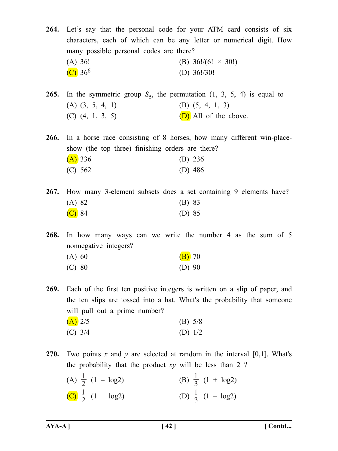**264.** Let's say that the personal code for your ATM card consists of six characters, each of which can be any letter or numerical digit. How many possible personal codes are there? (A) 36! (B)  $36!/(6! \times 30!)$ (C)  $36^6$  (D)  $36!/30!$ 

**265.** In the symmetric group  $S_5$ , the permutation  $(1, 3, 5, 4)$  is equal to (A) (3, 5, 4, 1) (B) (5, 4, 1, 3) (C)  $(4, 1, 3, 5)$  (D) All of the above.

**266.** In a horse race consisting of 8 horses, how many different win-placeshow (the top three) finishing orders are there?  $(A)$  336 (B) 236

| (4)     | $(D)$ 200 |
|---------|-----------|
| (C) 562 | (D) $486$ |

**267.** How many 3-element subsets does a set containing 9 elements have? (A) 82 (B) 83  $(C)$  84 (D) 85

**268.** In how many ways can we write the number 4 as the sum of 5 nonnegative integers?

| (A) 60 | $(B)$ 70 |  |
|--------|----------|--|
| (C) 80 | (D) $90$ |  |

**269.** Each of the first ten positive integers is written on a slip of paper, and the ten slips are tossed into a hat. What's the probability that someone will pull out a prime number?  $(A)$  2/5 (B) 5/8

- (C) 3/4 (D) 1/2
- **270.** Two points *x* and *y* are selected at random in the interval [0,1]. What's the probability that the product *xy* will be less than 2 ?

| (A) $\frac{1}{2}$ (1 – log2) | (B) $\frac{1}{3}$ (1 + log2) |
|------------------------------|------------------------------|
| (C) $\frac{1}{2}$ (1 + log2) | (D) $\frac{1}{3}$ (1 – log2) |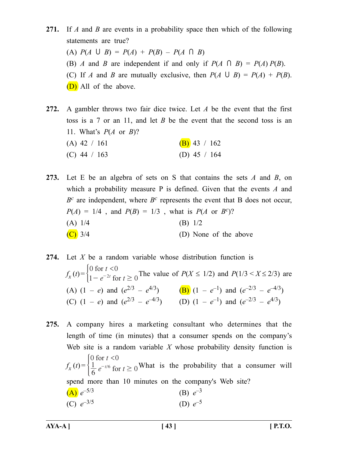**271.** If *A* and *B* are events in a probability space then which of the following statements are true?  $(P(A \cup B) = P(A) + P(B) - P(A \cap B)$ (B) *A* and *B* are independent if and only if  $P(A \cap B) = P(A) P(B)$ . (C) If *A* and *B* are mutually exclusive, then  $P(A \cup B) = P(A) + P(B)$ . (D) All of the above.

**272.** A gambler throws two fair dice twice. Let *A* be the event that the first toss is a 7 or an 11, and let *B* be the event that the second toss is an 11. What's *P*(*A* or *B*)? (A) 42 / 161 (B) 43 / 162 (C)  $44 / 163$  (D)  $45 / 164$ 

**273.** Let E be an algebra of sets on S that contains the sets *A* and *B*, on which a probability measure P is defined. Given that the events *A* and  $B^c$  are independent, where  $B^c$  represents the event that B does not occur,  $P(A) = 1/4$ , and  $P(B) = 1/3$ , what is  $P(A \text{ or } B^c)$ ? (A)  $1/4$  (B)  $1/2$  $(C)$  3/4 (D) None of the above

**274.** Let *X* be a random variable whose distribution function is  $f_x(t) = \begin{cases} 0 \text{ for } t < 0 \\ 1 - e^{-2t} \text{ for } t \ge 0 \end{cases}$ *t*  $e^{-2t}$  for t for for  $\lt$  $1 - e^{-2t}$  for  $t \ge 0$  The value of  $P(X \le 1/2)$  and  $P(1/3 < X \le 2/3)$  are (A)  $(1 - e)$  and  $(e^{2/3} - e^{4/3})$  (B)  $(1 - e^{-1})$  and  $(e^{-2/3} - e^{-4/3})$ (C)  $(1 - e)$  and  $(e^{2/3} - e^{-4/3})$  (D)  $(1 - e^{-1})$  and  $(e^{-2/3} - e^{4/3})$ 

**275.** A company hires a marketing consultant who determines that the length of time (in minutes) that a consumer spends on the company's Web site is a random variable *X* whose probability density function is  $f_{\rm x}(t) =$ *t*  $e^{-t/6}$  for t 0 for  $t < 0$  $\frac{1}{6} e^{-t/6}$  for  $t \ge 0$ for for  $\lt$  $\frac{1}{6} e^{-t/6}$  for  $t \ge 0$ <sup>What is the probability that a consumer will</sup> spend more than 10 minutes on the company's Web site? (A)  $e^{-5/3}$  (B)  $e^{-3}$ (C)  $e^{-3/5}$  (D)  $e^{-5}$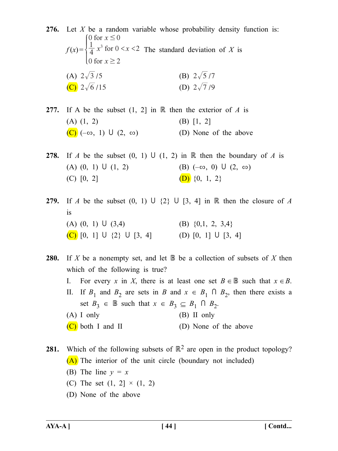**276.** Let *X* be a random variable whose probability density function is:  $f(x) = \frac{1}{4} x^3$  for  $0 < x < 2$  $\cot x \ge 2$  $\int 0$  for  $x \le 0$  $\frac{1}{4}x^3$  for  $0 < x <$  $\overline{\phantom{a}}$  $\overline{\phantom{a}}$  The standard deviation of *X* is (A)  $2\sqrt{3}/5$  (B)  $2\sqrt{5}/7$ (C)  $2\sqrt{6}/15$  (D)  $2\sqrt{7}/9$ 

**277.** If A be the subset  $(1, 2)$  in  $\mathbb R$  then the exterior of *A* is (A)  $(1, 2)$  (B)  $[1, 2]$  $(C)$  ( $-\infty$ , 1) U (2,  $\infty$ ) (D) None of the above

**278.** If *A* be the subset  $(0, 1)$  U  $(1, 2)$  in  $\mathbb R$  then the boundary of *A* is (A)  $(0, 1)$  U  $(1, 2)$  (B)  $(-\infty, 0)$  U  $(2, \infty)$ (C)  $[0, 2]$  (D)  $\{0, 1, 2\}$ 

**279.** If *A* be the subset  $(0, 1) \cup \{2\} \cup [3, 4]$  in  $\mathbb{R}$  then the closure of *A* is (A)  $(0, 1)$  U  $(3,4)$  (B)  $\{0,1, 2, 3,4\}$ (C)  $[0, 1] \cup \{2\} \cup [3, 4]$  (D)  $[0, 1] \cup [3, 4]$ 

- **280.** If *X* be a nonempty set, and let  $\mathbb{B}$  be a collection of subsets of *X* then which of the following is true?
	- I. For every *x* in *X*, there is at least one set  $B \in \mathbb{B}$  such that  $x \in B$ .
	- II. If  $B_1$  and  $B_2$  are sets in *B* and  $x \in B_1 \cap B_2$ , then there exists a set  $B_3 \in \mathbb{B}$  such that  $x \in B_3 \subseteq B_1 \cap B_2$ .
	- (A) I only (B) II only (C) both I and II (D) None of the above

**281.** Which of the following subsets of  $\mathbb{R}^2$  are open in the product topology? (A) The interior of the unit circle (boundary not included)

- (B) The line  $y = x$
- (C) The set  $(1, 2] \times (1, 2)$
- (D) None of the above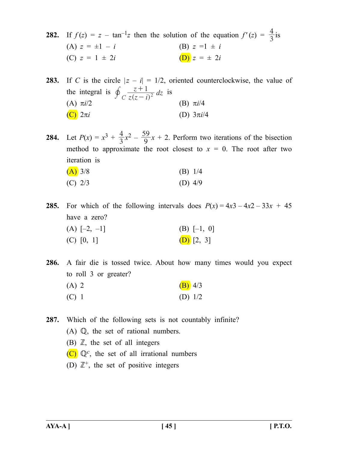**282.** If  $f(z) = z - \tan^{-1}z$  then the solution of the equation  $f'(z) = \frac{4}{3}$  is (A)  $z = \pm 1 - i$  (B)  $z =1 \pm i$ (C)  $z = 1 \pm 2i$  (D)  $z = \pm 2i$ 

**283.** If *C* is the circle  $|z - i| = 1/2$ , oriented counterclockwise, the value of the integral is  $\oint_C \frac{z+1}{z(z-i)^2} dz$  $\oint_C \frac{z+1}{z(z-i)^2} dz$  is (A)  $\pi i/2$  (B)  $\pi i/4$  $(C)$  2π*i* (D) 3π*i*/4

**284.** Let  $P(x) = x^3 + \frac{4}{3}x^2 - \frac{59}{9}x + 2$ . Perform two iterations of the bisection method to approximate the root closest to  $x = 0$ . The root after two iteration is

| $(A)$ 3/8 | $(B)$ 1/4 |  |
|-----------|-----------|--|
| $(C)$ 2/3 | (D) $4/9$ |  |

**285.** For which of the following intervals does  $P(x) = 4x^3 - 4x^2 - 33x + 45$ have a zero? (A)  $[-2, -1]$  (B)  $[-1, 0]$ (C)  $[0, 1]$  (D)  $[2, 3]$ 

**286.** A fair die is tossed twice. About how many times would you expect to roll 3 or greater? (A) 2 (B)  $4/3$ (C) 1 (D)  $1/2$ 

**287.** Which of the following sets is not countably infinite?

- $(A)$   $\mathbb{Q}$ , the set of rational numbers.
- (B)  $\mathbb{Z}$ , the set of all integers
- $(C)$   $\mathbb{Q}^c$ , the set of all irrational numbers
- (D)  $\mathbb{Z}^+$ , the set of positive integers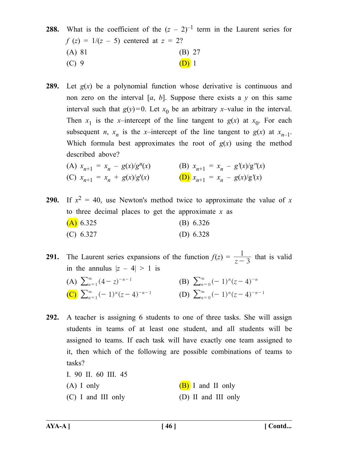# **288.** What is the coefficient of the  $(z - 2)^{-1}$  term in the Laurent series for  $f(z) = 1/(z - 5)$  centered at  $z = 2$ ? (A) 81 (B) 27 (C) 9 (D) 1

**289.** Let *g*(*x*) be a polynomial function whose derivative is continuous and non zero on the interval  $[a, b]$ . Suppose there exists a  $y$  on this same interval such that  $g(y)=0$ . Let  $x_0$  be an arbitrary *x*-value in the interval. Then  $x_1$  is the *x*–intercept of the line tangent to  $g(x)$  at  $x_0$ . For each subsequent *n*,  $x_n$  is the *x*–intercept of the line tangent to  $g(x)$  at  $x_{n-1}$ . Which formula best approximates the root of  $g(x)$  using the method described above?

(A) 
$$
x_{n+1} = x_n - g(x)/g^n(x)
$$
  
\n(B)  $x_{n+1} = x_n - g'(x)/g''(x)$   
\n(C)  $x_{n+1} = x_n + g(x)/g'(x)$   
\n(D)  $x_{n+1} = x_n - g(x)/g'(x)$ 

- **290.** If  $x^2 = 40$ , use Newton's method twice to approximate the value of x to three decimal places to get the approximate *x* as  $(A)$  6.325 (B) 6.326 (C) 6.327 (D) 6.328
- **291.** The Laurent series expansions of the function  $f(z) = \frac{1}{z-3}$  that is valid in the annulus  $|z - 4| > 1$  is

(A) 
$$
\sum_{n=1}^{\infty} (4-z)^{-n-1}
$$
  
\n(B)  $\sum_{n=0}^{\infty} (-1)^n (z-4)^{-n}$   
\n(C)  $\sum_{n=1}^{\infty} (-1)^n (z-4)^{-n-1}$   
\n(D)  $\sum_{n=0}^{\infty} (-1)^n (z-4)^{-n-1}$ 

- **292.** A teacher is assigning 6 students to one of three tasks. She will assign students in teams of at least one student, and all students will be assigned to teams. If each task will have exactly one team assigned to it, then which of the following are possible combinations of teams to tasks?
	- I. 90 II. 60 III. 45 (A) I only  $(B)$  I and II only
	- (C) I and III only (D) II and III only